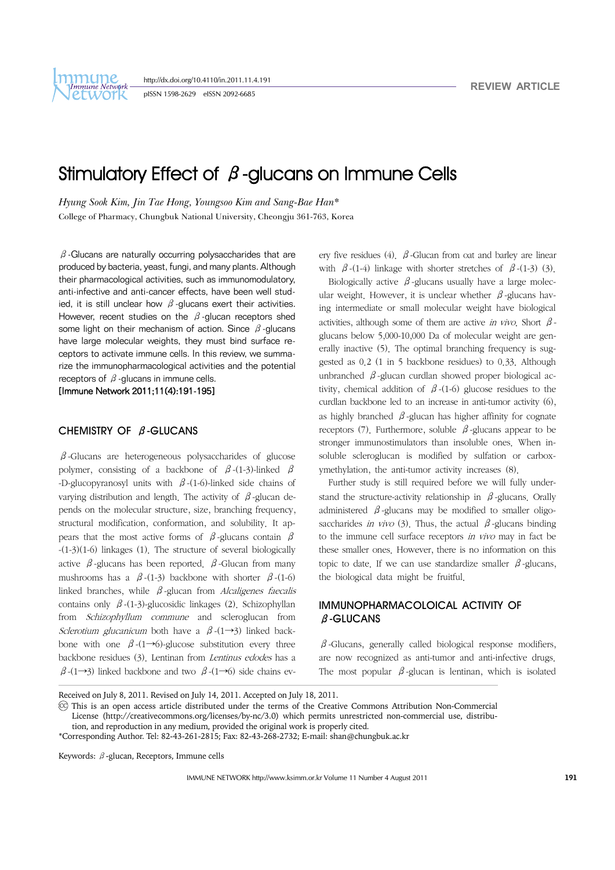http://dx.doi.org/10.4110/in.2011.11.4.191

pISSN 1598-2629 eISSN 2092-6685

# Stimulatory Effect of  $\beta$ -glucans on Immune Cells

*Hyung Sook Kim, Jin Tae Hong, Youngsoo Kim and Sang-Bae Han\** College of Pharmacy, Chungbuk National University, Cheongju 361-763, Korea

 $\beta$ -Glucans are naturally occurring polysaccharides that are produced by bacteria, yeast, fungi, and many plants. Although their pharmacological activities, such as immunomodulatory, anti-infective and anti-cancer effects, have been well studied, it is still unclear how  $\beta$ -glucans exert their activities. However, recent studies on the  $\beta$ -glucan receptors shed some light on their mechanism of action. Since  $\beta$ -glucans have large molecular weights, they must bind surface receptors to activate immune cells. In this review, we summarize the immunopharmacological activities and the potential receptors of  $\beta$ -glucans in immune cells.

[Immune Network 2011;11(4):191-195]

## CHEMISTRY OF β-GLUCANS

 $\beta$ -Glucans are heterogeneous polysaccharides of glucose polymer, consisting of a backbone of  $\beta$ -(1-3)-linked  $\beta$ -D-glucopyranosyl units with  $\beta$ -(1-6)-linked side chains of varying distribution and length. The activity of  $\beta$ -glucan depends on the molecular structure, size, branching frequency, structural modification, conformation, and solubility. It appears that the most active forms of  $\beta$ -glucans contain  $\beta$ -(1-3)(1-6) linkages (1). The structure of several biologically active  $β$ -glucans has been reported.  $β$ -Glucan from many mushrooms has a  $\beta$ -(1-3) backbone with shorter  $\beta$ -(1-6) linked branches, while  $\beta$ -glucan from Alcaligenes faecalis contains only  $\beta$ -(1-3)-glucosidic linkages (2). Schizophyllan from Schizophyllum commune and scleroglucan from Sclerotium glucanicum both have a  $\beta$ -(1→3) linked backbone with one  $\beta$ -(1→6)-glucose substitution every three backbone residues (3). Lentinan from Lentinus edodes has a  $β$ -(1→3) linked backbone and two  $β$ -(1→6) side chains every five residues (4).  $β$ -Glucan from oat and barley are linear with  $\beta$ -(1-4) linkage with shorter stretches of  $\beta$ -(1-3) (3).

Biologically active  $\beta$ -glucans usually have a large molecular weight. However, it is unclear whether  $\beta$ -glucans having intermediate or small molecular weight have biological activities, although some of them are active in vivo. Short  $\beta$ glucans below 5,000-10,000 Da of molecular weight are generally inactive (5). The optimal branching frequency is suggested as 0.2 (1 in 5 backbone residues) to 0.33. Although unbranched  $β$ -glucan curdlan showed proper biological activity, chemical addition of  $\beta$ -(1-6) glucose residues to the curdlan backbone led to an increase in anti-tumor activity (6), as highly branched  $\beta$ -glucan has higher affinity for cognate receptors (7). Furthermore, soluble  $\beta$ -glucans appear to be stronger immunostimulators than insoluble ones. When insoluble scleroglucan is modified by sulfation or carboxymethylation, the anti-tumor activity increases (8).

 Further study is still required before we will fully understand the structure-activity relationship in  $\beta$ -glucans. Orally administered  $\beta$ -glucans may be modified to smaller oligosaccharides *in vivo* (3). Thus, the actual  $\beta$ -glucans binding to the immune cell surface receptors in vivo may in fact be these smaller ones. However, there is no information on this topic to date. If we can use standardize smaller  $\beta$ -glucans, the biological data might be fruitful.

## IMMUNOPHARMACOLOICAL ACTIVITY OF β-GLUCANS

 $\beta$ -Glucans, generally called biological response modifiers, are now recognized as anti-tumor and anti-infective drugs. The most popular  $\beta$ -glucan is lentinan, which is isolated

Received on July 8, 2011. Revised on July 14, 2011. Accepted on July 18, 2011.

CC This is an open access article distributed under the terms of the Creative Commons Attribution Non-Commercial License (http://creativecommons.org/licenses/by-nc/3.0) which permits unrestricted non-commercial use, distribu-

tion, and reproduction in any medium, provided the original work is properly cited.

\*Corresponding Author. Tel: 82-43-261-2815; Fax: 82-43-268-2732; E-mail: shan@chungbuk.ac.kr

Keywords: β-glucan, Receptors, Immune cells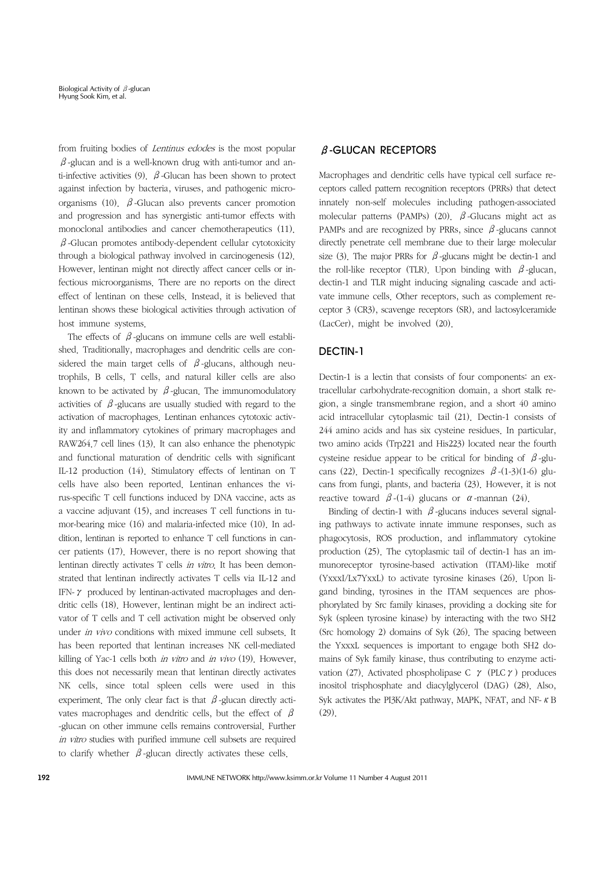from fruiting bodies of Lentinus edodes is the most popular  $\beta$ -glucan and is a well-known drug with anti-tumor and anti-infective activities (9).  $\beta$ -Glucan has been shown to protect against infection by bacteria, viruses, and pathogenic microorganisms (10).  $\beta$ -Glucan also prevents cancer promotion and progression and has synergistic anti-tumor effects with monoclonal antibodies and cancer chemotherapeutics (11).  $\beta$ -Glucan promotes antibody-dependent cellular cytotoxicity through a biological pathway involved in carcinogenesis (12). However, lentinan might not directly affect cancer cells or infectious microorganisms. There are no reports on the direct effect of lentinan on these cells. Instead, it is believed that lentinan shows these biological activities through activation of host immune systems.

The effects of  $\beta$ -glucans on immune cells are well established. Traditionally, macrophages and dendritic cells are considered the main target cells of  $\beta$ -glucans, although neutrophils, B cells, T cells, and natural killer cells are also known to be activated by  $\beta$ -glucan. The immunomodulatory activities of  $\beta$ -glucans are usually studied with regard to the activation of macrophages. Lentinan enhances cytotoxic activity and inflammatory cytokines of primary macrophages and RAW264.7 cell lines (13). It can also enhance the phenotypic and functional maturation of dendritic cells with significant IL-12 production (14). Stimulatory effects of lentinan on T cells have also been reported. Lentinan enhances the virus-specific T cell functions induced by DNA vaccine, acts as a vaccine adjuvant (15), and increases T cell functions in tumor-bearing mice (16) and malaria-infected mice (10). In addition, lentinan is reported to enhance T cell functions in cancer patients (17). However, there is no report showing that lentinan directly activates T cells in vitro. It has been demonstrated that lentinan indirectly activates T cells via IL-12 and IFN-γ produced by lentinan-activated macrophages and dendritic cells (18). However, lentinan might be an indirect activator of T cells and T cell activation might be observed only under *in vivo* conditions with mixed immune cell subsets. It has been reported that lentinan increases NK cell-mediated killing of Yac-1 cells both *in vitro* and *in vivo* (19). However, this does not necessarily mean that lentinan directly activates NK cells, since total spleen cells were used in this experiment. The only clear fact is that  $\beta$ -glucan directly activates macrophages and dendritic cells, but the effect of  $\beta$ -glucan on other immune cells remains controversial. Further in vitro studies with purified immune cell subsets are required to clarify whether  $\beta$ -glucan directly activates these cells.

## $\beta$ -GLUCAN RECEPTORS

Macrophages and dendritic cells have typical cell surface receptors called pattern recognition receptors (PRRs) that detect innately non-self molecules including pathogen-associated molecular patterns (PAMPs) (20).  $\beta$ -Glucans might act as PAMPs and are recognized by PRRs, since  $\beta$ -glucans cannot directly penetrate cell membrane due to their large molecular size (3). The major PRRs for  $\beta$ -glucans might be dectin-1 and the roll-like receptor (TLR). Upon binding with  $\beta$ -glucan, dectin-1 and TLR might inducing signaling cascade and activate immune cells. Other receptors, such as complement receptor 3 (CR3), scavenge receptors (SR), and lactosylceramide (LacCer), might be involved (20).

#### DECTIN-1

Dectin-1 is a lectin that consists of four components: an extracellular carbohydrate-recognition domain, a short stalk region, a single transmembrane region, and a short 40 amino acid intracellular cytoplasmic tail (21). Dectin-1 consists of 244 amino acids and has six cysteine residues. In particular, two amino acids (Trp221 and His223) located near the fourth cysteine residue appear to be critical for binding of  $\beta$ -glucans (22). Dectin-1 specifically recognizes  $\beta$ -(1-3)(1-6) glucans from fungi, plants, and bacteria (23). However, it is not reactive toward  $\beta$ -(1-4) glucans or  $\alpha$ -mannan (24).

Binding of dectin-1 with  $\beta$ -glucans induces several signaling pathways to activate innate immune responses, such as phagocytosis, ROS production, and inflammatory cytokine production (25). The cytoplasmic tail of dectin-1 has an immunoreceptor tyrosine-based activation (ITAM)-like motif (YxxxI/Lx7YxxL) to activate tyrosine kinases (26). Upon ligand binding, tyrosines in the ITAM sequences are phosphorylated by Src family kinases, providing a docking site for Syk (spleen tyrosine kinase) by interacting with the two SH2 (Src homology 2) domains of Syk (26). The spacing between the YxxxL sequences is important to engage both SH2 domains of Syk family kinase, thus contributing to enzyme activation (27). Activated phospholipase C  $\gamma$  (PLC  $\gamma$ ) produces inositol trisphosphate and diacylglycerol (DAG) (28). Also, Syk activates the PI3K/Akt pathway, MAPK, NFAT, and NF-κB (29).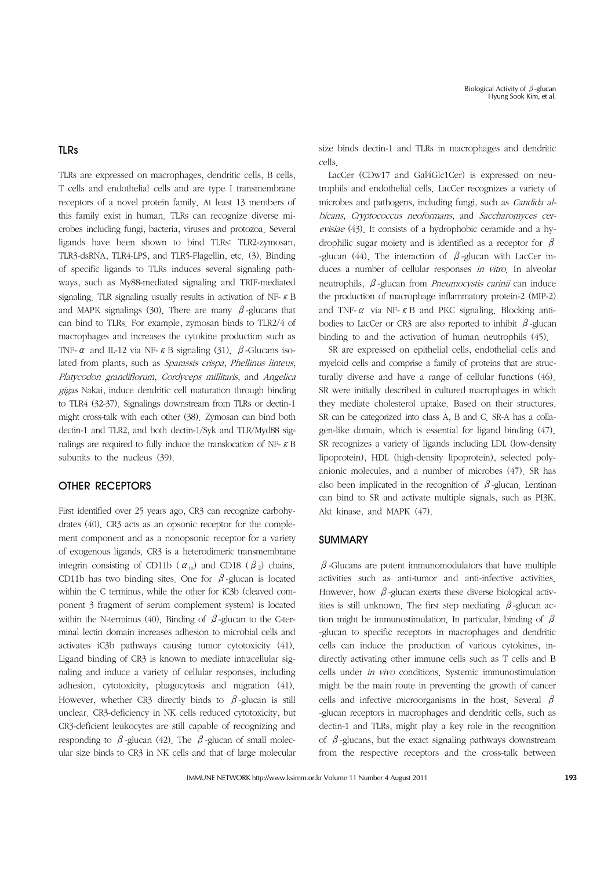#### TLRs

TLRs are expressed on macrophages, dendritic cells, B cells, T cells and endothelial cells and are type I transmembrane receptors of a novel protein family. At least 13 members of this family exist in human. TLRs can recognize diverse microbes including fungi, bacteria, viruses and protozoa. Several ligands have been shown to bind TLRs: TLR2-zymosan, TLR3-dsRNA, TLR4-LPS, and TLR5-Flagellin, etc. (3). Binding of specific ligands to TLRs induces several signaling pathways, such as My88-mediated signaling and TRIF-mediated signaling. TLR signaling usually results in activation of NF-κB and MAPK signalings (30). There are many  $\beta$ -glucans that can bind to TLRs. For example, zymosan binds to TLR2/4 of macrophages and increases the cytokine production such as TNF- $\alpha$  and IL-12 via NF-  $\kappa$  B signaling (31).  $\beta$ -Glucans isolated from plants, such as Sparassis crispa, Phellinus linteus, Platycodon grandiflorum, Cordyceps millitaris, and Angelica gigas Nakai, induce dendritic cell maturation through binding to TLR4 (32-37). Signalings downstream from TLRs or dectin-1 might cross-talk with each other (38). Zymosan can bind both dectin-1 and TLR2, and both dectin-1/Syk and TLR/Myd88 signalings are required to fully induce the translocation of NF-κB subunits to the nucleus (39).

## OTHER RECEPTORS

First identified over 25 years ago, CR3 can recognize carbohydrates (40). CR3 acts as an opsonic receptor for the complement component and as a nonopsonic receptor for a variety of exogenous ligands. CR3 is a heterodimeric transmembrane integrin consisting of CD11b ( $\alpha_{\rm m}$ ) and CD18 ( $\beta_{2}$ ) chains. CD11b has two binding sites. One for  $\beta$ -glucan is located within the C terminus, while the other for iC3b (cleaved component 3 fragment of serum complement system) is located within the N-terminus (40). Binding of  $\beta$ -glucan to the C-terminal lectin domain increases adhesion to microbial cells and activates iC3b pathways causing tumor cytotoxicity (41). Ligand binding of CR3 is known to mediate intracellular signaling and induce a variety of cellular responses, including adhesion, cytotoxicity, phagocytosis and migration (41). However, whether CR3 directly binds to  $\beta$ -glucan is still unclear. CR3-deficiency in NK cells reduced cytotoxicity, but CR3-deficient leukocytes are still capable of recognizing and responding to  $\beta$ -glucan (42). The  $\beta$ -glucan of small molecular size binds to CR3 in NK cells and that of large molecular size binds dectin-1 and TLRs in macrophages and dendritic cells.

 LacCer (CDw17 and Gal4Glc1Cer) is expressed on neutrophils and endothelial cells. LacCer recognizes a variety of microbes and pathogens, including fungi, such as Candida albicans, Cryptococcus neoformans, and Saccharomyces cerevisiae (43). It consists of a hydrophobic ceramide and a hydrophilic sugar moiety and is identified as a receptor for  $\beta$ -glucan (44). The interaction of  $\beta$ -glucan with LacCer induces a number of cellular responses in vitro. In alveolar neutrophils, β-glucan from Pneumocystis carinii can induce the production of macrophage inflammatory protein-2 (MIP-2) and TNF- $\alpha$  via NF- $\kappa$  B and PKC signaling. Blocking antibodies to LacCer or CR3 are also reported to inhibit  $\beta$ -glucan binding to and the activation of human neutrophils (45).

 SR are expressed on epithelial cells, endothelial cells and myeloid cells and comprise a family of proteins that are structurally diverse and have a range of cellular functions (46). SR were initially described in cultured macrophages in which they mediate cholesterol uptake. Based on their structures, SR can be categorized into class A, B and C. SR-A has a collagen-like domain, which is essential for ligand binding (47). SR recognizes a variety of ligands including LDL (low-density lipoprotein), HDL (high-density lipoprotein), selected polyanionic molecules, and a number of microbes (47). SR has also been implicated in the recognition of  $\beta$ -glucan. Lentinan can bind to SR and activate multiple signals, such as PI3K, Akt kinase, and MAPK (47).

#### SUMMARY

 $\beta$ -Glucans are potent immunomodulators that have multiple activities such as anti-tumor and anti-infective activities. However, how  $\beta$ -glucan exerts these diverse biological activities is still unknown. The first step mediating  $\beta$ -glucan action might be immunostimulation. In particular, binding of  $\beta$ -glucan to specific receptors in macrophages and dendritic cells can induce the production of various cytokines, indirectly activating other immune cells such as T cells and B cells under in vivo conditions. Systemic immunostimulation might be the main route in preventing the growth of cancer cells and infective microorganisms in the host. Several  $\beta$ -glucan receptors in macrophages and dendritic cells, such as dectin-1 and TLRs, might play a key role in the recognition of  $\beta$ -glucans, but the exact signaling pathways downstream from the respective receptors and the cross-talk between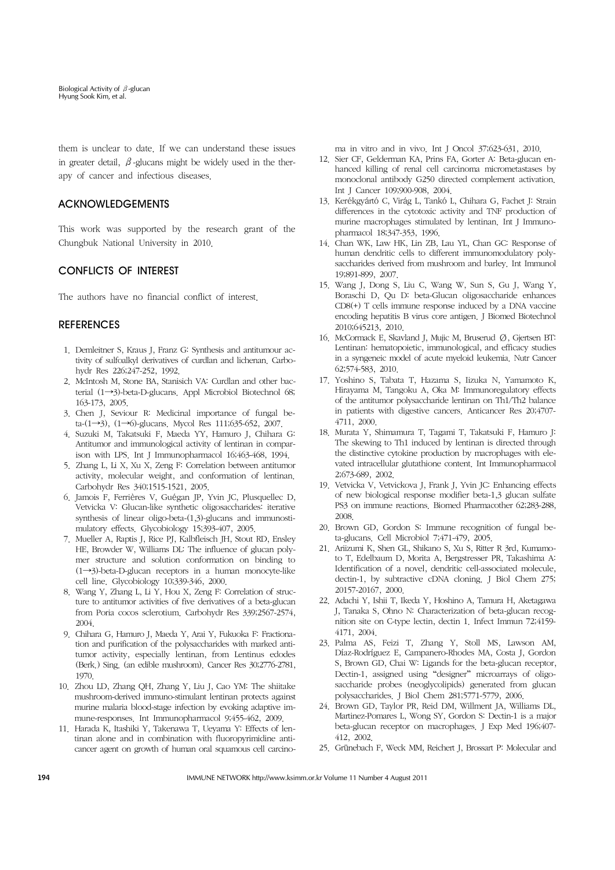them is unclear to date. If we can understand these issues in greater detail,  $\beta$ -glucans might be widely used in the therapy of cancer and infectious diseases.

## ACKNOWLEDGEMENTS

This work was supported by the research grant of the Chungbuk National University in 2010.

## CONFLICTS OF INTEREST

The authors have no financial conflict of interest.

## **REFERENCES**

- 1. Demleitner S, Kraus J, Franz G: Synthesis and antitumour activity of sulfoalkyl derivatives of curdlan and lichenan. Carbohydr Res 226;247-252, 1992.
- 2. McIntosh M, Stone BA, Stanisich VA: Curdlan and other bacterial (1→3)-beta-D-glucans. Appl Microbiol Biotechnol 68; 163-173, 2005.
- 3. Chen J, Seviour R: Medicinal importance of fungal beta-(1→3), (1→6)-glucans. Mycol Res 111;635-652, 2007.
- 4. Suzuki M, Takatsuki F, Maeda YY, Hamuro J, Chihara G: Antitumor and immunological activity of lentinan in comparison with LPS. Int J Immunopharmacol 16;463-468, 1994.
- 5. Zhang L, Li X, Xu X, Zeng F: Correlation between antitumor activity, molecular weight, and conformation of lentinan. Carbohydr Res 340;1515-1521, 2005.
- 6. Jamois F, Ferrières V, Guégan JP, Yvin JC, Plusquellec D, Vetvicka V: Glucan-like synthetic oligosaccharides: iterative synthesis of linear oligo-beta-(1,3)-glucans and immunostimulatory effects. Glycobiology 15;393-407, 2005.
- 7. Mueller A, Raptis J, Rice PJ, Kalbfleisch JH, Stout RD, Ensley HE, Browder W, Williams DL: The influence of glucan polymer structure and solution conformation on binding to (1→3)-beta-D-glucan receptors in a human monocyte-like cell line. Glycobiology 10;339-346, 2000.
- 8. Wang Y, Zhang L, Li Y, Hou X, Zeng F: Correlation of structure to antitumor activities of five derivatives of a beta-glucan from Poria cocos sclerotium. Carbohydr Res 339;2567-2574, 2004.
- 9. Chihara G, Hamuro J, Maeda Y, Arai Y, Fukuoka F: Fractionation and purification of the polysaccharides with marked antitumor activity, especially lentinan, from Lentinus edodes (Berk.) Sing. (an edible mushroom). Cancer Res 30;2776-2781, 1970.
- 10. Zhou LD, Zhang QH, Zhang Y, Liu J, Cao YM: The shiitake mushroom-derived immuno-stimulant lentinan protects against murine malaria blood-stage infection by evoking adaptive immune-responses. Int Immunopharmacol 9;455-462, 2009.
- 11. Harada K, Itashiki Y, Takenawa T, Ueyama Y: Effects of lentinan alone and in combination with fluoropyrimidine anticancer agent on growth of human oral squamous cell carcino-

ma in vitro and in vivo. Int J Oncol 37;623-631, 2010.

- 12. Sier CF, Gelderman KA, Prins FA, Gorter A: Beta-glucan enhanced killing of renal cell carcinoma micrometastases by monoclonal antibody G250 directed complement activation. Int J Cancer 109;900-908, 2004.
- 13. Kerékgyártó C, Virág L, Tankó L, Chihara G, Fachet J: Strain differences in the cytotoxic activity and TNF production of murine macrophages stimulated by lentinan. Int J Immunopharmacol 18;347-353, 1996.
- 14. Chan WK, Law HK, Lin ZB, Lau YL, Chan GC: Response of human dendritic cells to different immunomodulatory polysaccharides derived from mushroom and barley. Int Immunol 19;891-899, 2007.
- 15. Wang J, Dong S, Liu C, Wang W, Sun S, Gu J, Wang Y, Boraschi D, Qu D: beta-Glucan oligosaccharide enhances CD8(+) T cells immune response induced by a DNA vaccine encoding hepatitis B virus core antigen. J Biomed Biotechnol 2010;645213, 2010.
- 16. McCormack E, Skavland J, Mujic M, Bruserud Ø, Gjertsen BT: Lentinan: hematopoietic, immunological, and efficacy studies in a syngeneic model of acute myeloid leukemia. Nutr Cancer 62;574-583, 2010.
- 17. Yoshino S, Tabata T, Hazama S, Iizuka N, Yamamoto K, Hirayama M, Tangoku A, Oka M: Immunoregulatory effects of the antitumor polysaccharide lentinan on Th1/Th2 balance in patients with digestive cancers. Anticancer Res 20;4707- 4711, 2000.
- 18. Murata Y, Shimamura T, Tagami T, Takatsuki F, Hamuro J: The skewing to Th1 induced by lentinan is directed through the distinctive cytokine production by macrophages with elevated intracellular glutathione content. Int Immunopharmacol 2;673-689, 2002.
- 19. Vetvicka V, Vetvickova J, Frank J, Yvin JC: Enhancing effects of new biological response modifier beta-1,3 glucan sulfate PS3 on immune reactions. Biomed Pharmacother 62;283-288, 2008.
- 20. Brown GD, Gordon S: Immune recognition of fungal beta-glucans. Cell Microbiol 7;471-479, 2005.
- 21. Ariizumi K, Shen GL, Shikano S, Xu S, Ritter R 3rd, Kumamoto T, Edelbaum D, Morita A, Bergstresser PR, Takashima A: Identification of a novel, dendritic cell-associated molecule, dectin-1, by subtractive cDNA cloning. J Biol Chem 275; 20157-20167, 2000.
- 22. Adachi Y, Ishii T, Ikeda Y, Hoshino A, Tamura H, Aketagawa J, Tanaka S, Ohno N: Characterization of beta-glucan recognition site on C-type lectin, dectin 1. Infect Immun 72;4159- 4171, 2004.
- 23. Palma AS, Feizi T, Zhang Y, Stoll MS, Lawson AM, Díaz-Rodríguez E, Campanero-Rhodes MA, Costa J, Gordon S, Brown GD, Chai W: Ligands for the beta-glucan receptor, Dectin-1, assigned using "designer" microarrays of oligosaccharide probes (neoglycolipids) generated from glucan polysaccharides. J Biol Chem 281;5771-5779, 2006.
- 24. Brown GD, Taylor PR, Reid DM, Willment JA, Williams DL, Martinez-Pomares L, Wong SY, Gordon S: Dectin-1 is a major beta-glucan receptor on macrophages. J Exp Med 196;407- 412, 2002.
- 25. Grünebach F, Weck MM, Reichert J, Brossart P: Molecular and